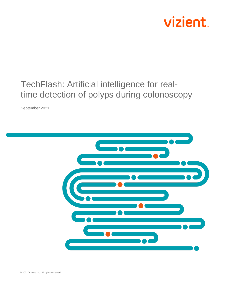

# TechFlash: Artificial intelligence for realtime detection of polyps during colonoscopy

September 2021

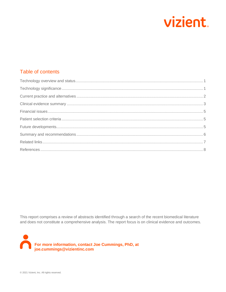

# Table of contents

This report comprises a review of abstracts identified through a search of the recent biomedical literature and does not constitute a comprehensive analysis. The report focus is on clinical evidence and outcomes.

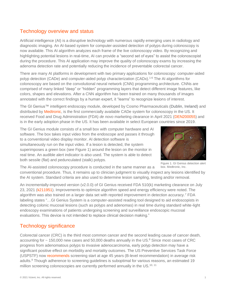# <span id="page-2-0"></span>Technology overview and status

Artificial intelligence (AI) is a disruptive technology with numerous rapidly emerging uses in radiology and diagnostic imaging. An AI-based system for computer-assisted detection of polyps during colonoscopy is now available. This AI algorithm analyzes each frame of the live colonoscopy video. By recognizing and highlighting potential lesions in real-time, AI can provide a "second set of eyes" to assist the colonoscopist during the procedure. This AI application may improve the quality of colonoscopy exams by increasing the adenoma detection rate and potentially reducing the incidence of preventable colorectal cancer.

There are many AI platforms in development with two primary applications for colonoscopy: computer-aided polyp detection (CADe) and computer-aided polyp characterization (CADx).<sup>[1-6](#page-9-1)</sup> The AI algorithms for colonoscopy are based on the convolutional neural network (CNN) programming architecture. CNNs are comprised of many linked "deep" or "hidden" programming layers that detect different image features, like colors, shapes and elevations. After a CNN algorithm has been trained on many thousands of images annotated with the correct findings by a human expert, it "learns" to recognize lesions of interest.

The GI Genius™ intelligent endoscopy module, developed by Cosmo Pharmaceuticals (Dublin, Ireland) and distributed by [Medtronic,](https://www.medtronic.com/us-en/c/digestive-gastrointestinal/gi-genius.html) is the first commercially available CADe system for colonoscopy in the US. It received Food and Drug Administration (FDA) *de novo* marketing clearance in April 2021 [\(DEN200055\)](https://www.accessdata.fda.gov/cdrh_docs/pdf20/DEN200055.pdf) and is in the early adoption phase in the US. It has been available in select European countries since 2019.

The GI Genius module consists of a small box with computer hardware and AI software. The box takes input video from the endoscope and passes it through to a conventional video display monitor. AI detection software is simultaneously run on the input video. If a lesion is detected, the system superimposes a green box (see Figure 1) around the lesion on the monitor in real time. An audible alert indicator is also used. The system is able to detect both sessile (flat) and pedunculated (stalk) polyps.



Figure 1. GI Genius detection alert box. Medtronic, Inc.

The AI-assisted colonoscopy procedure is conducted in the same manner as a

conventional procedure. Thus, it remains up to clinician judgment to visually inspect any lesions identified by the AI system. Standard criteria are also used to determine lesion sampling, testing and/or removal.

An incrementally-improved version (v2.0.0) of GI Genius received FDA 510(k) marketing clearance on July 23, 2021 [\(k211951\)](https://www.accessdata.fda.gov/cdrh_docs/pdf21/K211951.pdf). Improvements to optimize algorithm speed and energy efficiency were noted. The algorithm was also trained on a larger data set with reported improvement in detection accuracy.[7](#page-9-2) FDA labeling states "…GI Genius System is a computer-assisted reading tool designed to aid endoscopists in detecting colonic mucosal lesions (such as polyps and adenomas) in real time during standard white-light endoscopy examinations of patients undergoing screening and surveillance endoscopic mucosal evaluations. This device is not intended to replace clinical decision making."

# <span id="page-2-1"></span>Technology significance

Colorectal cancer (CRC) is the third most common cancer and the second leading cause of cancer death, accounting for  $\sim$  150,000 new cases and 50,000 deaths annually in the US[.](#page-9-3) $\text{8}$  Since most cases of CRC progress from adenomatous polyps to invasive adenocarcinoma, early polyp detection may have a significant positive effect on morbidity and mortality outcomes. The US Preventive Services Task Force (USPSTF) now [recommends](https://www.uspreventiveservicestaskforce.org/uspstf/recommendation/colorectal-cancer-screening#fullrecommendationstart) screening start at age 45 years (B-level recommendation) in average risk adults.<sup>[9](#page-9-4)</sup> Though adherence to screening guidelines is suboptimal for various reasons, an estimated 19 million screening colonoscopies are currently performed annually in the US.<sup>[10,](#page-9-5) [11](#page-9-6)</sup>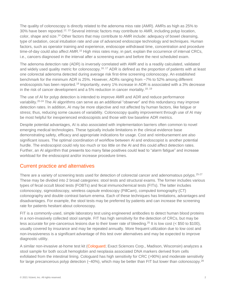The quality of colonoscopy is directly related to the adenoma miss rate (AMR). AMRs as high as 25% to 30% have been reported.<sup>[12,](#page-9-7) [13](#page-9-8)</sup> Several intrinsic factors may contribute to AMR, including polyp location, color, shape and size.<sup>[14](#page-9-9)</sup> Other factors that may contribute to AMR include: adequacy of bowel cleansing, type of sedation, cecal intubation rate and use of advanced endoscope technology and techniques. Human factors, such as operator training and experience, endoscope withdrawal time, concentration and procedure time-of-day could also affect AMR.<sup>[15](#page-9-10)</sup> High miss rates may, in part, explain the occurrence of interval CRCs, i.e., cancers diagnosed in the interval after a screening exam and before the next scheduled exam.

The adenoma detection rate (ADR) is inversely correlated with AMR and is a readily calculated, validated and widely used quality metric for colonoscopy.<sup>[16,](#page-9-11) [17](#page-9-12)</sup> ADR is defined as the proportion of patients with at least one colorectal adenoma detected during average risk first-time screening colonoscopy. An established benchmark for the minimum ADR is 25%. However, ADRs ranging from ~7% to 52% among different endoscopists has been reported.<sup>[18](#page-10-0)</sup> Importantly, every 1% increase in ADR is associated with a 3% decrease in the risk of cancer development and a 5% reduction in cancer mortality.<sup>[18,](#page-10-0) [19](#page-10-1)</sup>

The use of AI for polyp detection is intended to improve AMR and ADR and reduce performance variability.[20-24](#page-10-2) The AI algorithms can serve as an additional "observer" and this redundancy may improve detection rates. In addition, AI may be more objective and not affected by human factors, like fatigue or stress; thus, reducing some causes of variability. Colonoscopy quality improvement through use of AI may be most helpful for inexperienced endoscopists and those with low baseline ADR metrics.

Despite potential advantages, AI is also associated with implementation barriers often common to novel emerging medical technologies. These typically include limitations in the clinical evidence base demonstrating safety, efficacy and appropriate indications for usage. Cost and reimbursement are also significant issues. The optimal coordination of workflow between AI and endoscopist is another potential hurdle. The endoscopist could rely too much or too little on the AI and this could affect detection rates. Further, an AI algorithm that presents too many false positives could lead to "alarm fatigue" and increase workload for the endoscopist and/or increase procedure times.

#### <span id="page-3-0"></span>Current practice and alternatives

There are a variety of screening tests used for detection of colorectal cancer and adenomatous polyps. [25-27](#page-10-3) These may be divided into 2 broad categories: stool tests and structural exams. The former includes various types of fecal occult blood tests (FOBTs) and fecal immunochemical tests (FITs). The latter includes colonoscopy, sigmoidoscopy, wireless capsule endoscopy (PillCam), computed tomography (CT) colonography and double contrast barium enema. Each of these techniques has limitations, advantages and disadvantages. For example, the stool tests may be preferred by patients and can increase the screening rate for patients hesitant about colonoscopy.

FIT is a commonly-used, simple laboratory test using engineered antibodies to detect human blood proteins in a non-invasively collected stool sample. FIT has high sensitivity for the detection of CRCs, but may be less accurate for pre-cancerous lesions due to their lower rate of bleeding.<sup>[25](#page-10-3)</sup> It is low cost (< \$50 to \$100), usually covered by insurance and may be repeated annually. More frequent utilization due to low cost and non-invasiveness is a significant advantage of this test over alternatives and may be expected to improve diagnostic utility.

A similar non-invasive at-home test kit [\(Cologuard;](https://www.cologuard.com/) Exact Sciences Corp., Madison, Wisconsin) analyzes a stool sample for both occult hemoglobin and neoplasia associated DNA markers derived from cells exfoliated from the intestinal lining. Cologuard has high sensitivity for CRC (>90%) and moderate sensitivity for large precancerous polyp detection  $(-40%)$ , which may be better than FIT but lower than colonoscopy.<sup>[28](#page-10-4)</sup>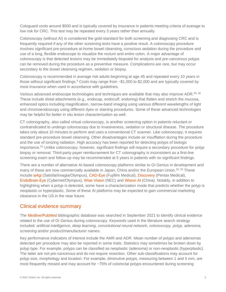Cologuard costs around \$500 and is typically covered by insurance in patients meeting criteria of average to low risk for CRC. This test may be repeated every 3 years rather than annually.

Colonoscopy (without AI) is considered the gold-standard for both screening and diagnosing CRC and is frequently required if any of the other screening tests have a positive result. A colonoscopy procedure involves significant pre-procedure at-home bowel cleansing, conscious sedation during the procedure and use of a long, flexible endoscope to visualize the rectum and entire colon. A major advantage of colonoscopy is that detected lesions may be immediately biopsied for analysis and pre-cancerous polyps can be removed during the procedure as a preventive measure. Complications are rare, but may occur secondary to the bowel cleansing regimen, sedation or biopsy.

Colonoscopy is recommended in average risk adults beginning at age 45 and repeated every 10 years in those without significant findings[.](#page-9-4)<sup>9</sup> Costs may range from ~\$1,000 to \$2,000 and are typically covered by most insurance when used in accordance with guidelines.

Various advanced endoscope technologies and techniques are available that may also improve ADR.<sup>[29,](#page-10-5) [30](#page-10-6)</sup> These include distal attachments (e.g., endocap, endocuff, endoring) that flatten and stretch the mucosa, enhanced optics including magnification, narrow-band imaging using various different wavelengths of light and chromoendoscopy using different dyes or staining procedures. Some of these advanced technologies may be helpful for better in situ lesion characterization as well.

CT colonography, also called virtual colonoscopy, is another screening option in patients reluctant or contraindicated to undergo colonoscopy due to invasiveness, sedation or structural disease. The procedure takes only about 10 minutes to perform and uses a conventional CT scanner. Like colonoscopy, it requires standard pre-procedure bowel cleansing. Other disadvantages include air insufflation during the procedure and the use of ionizing radiation. High accuracy has been reported for detecting polyps of biologic importance.[31](#page-10-7) Unlike colonoscopy, however, significant findings will require a secondary procedure for polyp biopsy or removal. Third-party payer reimbursement for CT colonography is inconsistent as a first-line screening exam and follow-up may be recommended at 5 years in patients with no significant findings.

There are a number of alternative AI-based colonoscopy platforms similar to GI Genius in development and many of these are now commercially available in Japan, China and/or the European Union.<sup>[32,](#page-10-8) [33](#page-10-9)</sup> These include [ai4gi](https://ai4gi.com/) (Satisfai/Imagia/Olympus), [CAD-Eye](https://www.fujifilm.com/us/en/news/healthcare/fujifilm-obtains-ce-mark-on-software-with-new-cad-eye-function-in-europe) (Fujifilm Medical), [Discovery](https://www.pentaxmedical.com/pentax/en/95/2/DISCOVERY-new) (Pentax Medical), [EndoBrain-Eye](https://www.cybernet.jp/english/documents/pdf/news/press/2020/20200129.pdf) (Cybernet/Olympus), [Wise Vision](https://www.nec.com/en/press/202101/global_20210112_01.html) (NEC) and [Wision AI](https://www.wision.com/) (China). Notably, in addition to highlighting when a polyp is detected, some have a characterization mode that predicts whether the polyp is neoplastic or hyperplastic. Some of these AI platforms may be expected to gain commercial marketing clearance in the US in the near future.

#### <span id="page-4-0"></span>Clinical evidence summary

The [Medline/PubMed](https://www.ncbi.nlm.nih.gov/pubmed) bibliographic database was searched in September 2021 to identify clinical evidence related to the use of GI Genius during colonoscopy. Keywords used in the literature search strategy included*: artificial intelligence, deep learning, convolutional neural network, colonoscopy, polyp, adenoma, screening* and/or product/manufacturer names.

Key performance indicators of interest include the AMR and ADR. Mean number of polyps and adenomas detected per procedure may also be reported in some trials. Statistics may sometimes be broken down by polyp type. For example, polyps can be classified as neoplastic (adenoma) or non-neoplastic (hyperplastic). The latter are not pre-cancerous and do not require resection. Other sub-classifications may account for polyp size, morphology and location. For example, diminutive polyps, measuring between 1 and 5 mm, are most frequently missed and may account for ~75% of colorectal polyps encountered during screening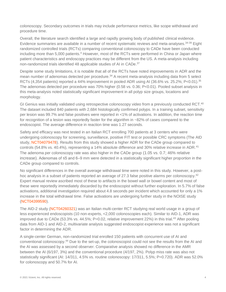colonoscopy. Secondary outcomes in trials may include performance metrics, like scope withdrawal and procedure time.

Overall, the literature search identified a large and rapidly growing body of published clinical evidence. Evidence summaries are available in a number of recent systematic reviews and meta-analyses.<sup>[34-39](#page-11-0)</sup> Eight randomized controlled trials (RCTs) comparing conventional colonoscopy to CADe have been conducted including more than 5,000 patients[.](#page-9-13)<sup>4</sup> However, most of the RCTs were performed in China or Japan where patient characteristics and endoscopy practices may be different from the US. A meta-analysis including non-randomized trials identified 48 applicable studies of AI in CADe.<sup>[37](#page-11-1)</sup>

Despite some study limitations, it is notable that all of the RCTs have noted improvements in ADR and the mean number of adenomas detected per procedure.<sup>[34](#page-11-0)</sup> A recent meta-analysis including data from 5 select RCTs (4,[35](#page-11-2)4 patients) reported a 44% improvement in pooled ADR using AI (36.6% vs. 25.2%; P<0.01).<sup>35</sup> The adenomas detected per procedure was 70% higher (0.58 vs. 0.36; P<0.01). Pooled subset analysis in this meta-analysis noted statistically significant improvement in all polyp size groups, locations and morphology.

GI Genius was initially validated using retrospective colonoscopy video from a previously conducted RCT.<sup>[40](#page-11-3)</sup> The dataset included 840 patients with 2,684 histologically confirmed polyps. In a training subset, sensitivity per lesion was 99.7% and false positives were reported in <1% of activations. In addition, the reaction time for recognition of a lesion was reportedly faster for the algorithm in ~82% of cases compared to the endoscopist. The average difference in reaction time was 1.27 seconds.

Safety and efficacy was next tested in an Italian RCT enrolling 700 patients at 3 centers who were undergoing colonoscopy for screening, surveillance, positive FIT test or possible CRC symptoms (The AID study, [NCT04079478\)](https://clinicaltrials.gov/ct2/show/NCT04079478). Results from this study showed a higher ADR for the CADe group compared to controls (54.8% vs. 40.4%), representing a 14% absolute difference and 30% relative increase in ADR.<sup>[41](#page-11-4)</sup> The adenoma per colonoscopy rate was also higher in the CADe group (1.05 vs. 0.7; 46% relative increase). Adenomas of ≤5 and 6–9 mm were detected in a statistically significant higher proportion in the CADe group compared to controls.

No significant differences in the overall average withdrawal time were noted in this study. However, a post-hoc analysis in a subset of patients reported an average of 27.3 false positive alarms per colonoscopy.<sup>[42](#page-11-5)</sup> Expert manual review ascribed most of these to artifacts in the bowel wall or bowel content and most of these were reportedly immediately discarded by the endoscopist without further exploration. In 5.7% of false activations, additional investigation required about 4.8 seconds per incident which accounted for only a 1% increase in the total withdrawal time. False activations are undergoing further study in the NOISE study [\(NCT04399590\)](https://clinicaltrials.gov/ct2/show/NCT04399590).

The AID-2 study [\(NCT04260321\)](https://clinicaltrials.gov/ct2/show/NCT04260321) was an Italian multi-center RCT studying real world usage in a group of less experienced endoscopists (10 non-experts, <2,000 colonoscopies each). Similar to AID-1, ADR was improved due to CADe (53.3% vs. 44.5%; P=0.02, relative improvement 22%) in this trial.<sup>[43](#page-11-6)</sup> After pooling data from AID-1 and AID-2, multivariate analysis suggested endoscopist experience was not a significant factor in determining the ADR.

A single-center German, non-randomized trial enrolled 150 patients with concurrent use of AI and conventional colonoscopy.[44](#page-11-7) Due to the set-up, the colonoscopist could not see the results from the AI and the AI was assessed by a second observer. Comparative analysis showed no difference in the AMR between the AI (6/197, 3%) and the conventional procedure (4/197, 2%). Polyp miss rate was also not statistically significant (AI: 14/311, 4.5% vs. routine colonoscopy: 17/311, 5.5%; P=0.720). ADR was 52.0% for colonoscopy and 50.7% for AI.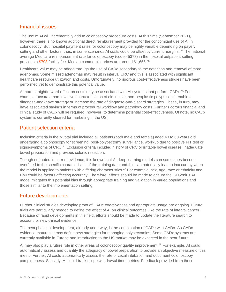#### <span id="page-6-0"></span>Financial issues

The use of AI will incrementally add to colonoscopy procedure costs. At this time (September 2021), however, there is no known additional direct reimbursement provided for the concomitant use of AI in colonoscopy. But, hospital payment rates for colonoscopy may be highly variable depending on payer, setting and other factors; thus, in some scenarios AI costs could be offset by current margins.<sup>[45](#page-11-8)</sup> The national average Medicare reimbursement rate for colonoscopy (code 45378) in the hospital outpatient setting provides a [\\$793](https://www.medicare.gov/procedure-price-lookup/cost/45378/) facility fee. Median commercial prices are around \$1,656.[45](#page-11-8)

Healthcare value may be added through the use of CADe secondary to the detection and removal of more adenomas. Some missed adenomas may result in interval CRC and this is associated with significant healthcare resource utilization and costs. Unfortunately, no rigorous cost-effectiveness studies have been performed yet to demonstrate this potential value.

A more straightforward effect on costs may be associated with AI systems that perform CADx.[46](#page-11-9) For example, accurate non-invasive characterization of diminutive, non-neoplastic polyps could enable a diagnose-and-leave strategy or increase the rate of diagnose-and-discard strategies. These, in turn, may have associated savings in terms of procedural workflow and pathology costs. Further rigorous financial and clinical study of CADx will be required, however, to determine potential cost-effectiveness. Of note, no CADx system is currently cleared for marketing in the US.

#### <span id="page-6-1"></span>Patient selection criteria

Inclusion criteria in the pivotal trial included all patients (both male and female) aged 40 to 80 years old undergoing a colonoscopy for screening, post-polypectomy surveillance, work-up due to positive FIT test or signs/symptoms of CRC.<sup>[41](#page-11-4)</sup> Exclusion criteria included history of CRC or irritable bowel disease, inadequate bowel preparation and previous colonic resection.

Though not noted in current evidence, it is known that AI deep learning models can sometimes become overfitted to the specific characteristics of the training data and this can potentially lead to inaccuracy when the model is applied to patients with differing characteristics.<sup>[47](#page-11-10)</sup> For example, sex, age, race or ethnicity and BMI could be factors affecting accuracy. Therefore, efforts should be made to ensure the GI Genius AI model mitigates this potential bias through appropriate training and validation in varied populations and those similar to the implementation setting.

#### <span id="page-6-2"></span>Future developments

Further clinical studies developing proof of CADe effectiveness and appropriate usage are ongoing. Future trials are particularly needed to define the effect of AI on clinical outcomes, like the rate of interval cancer. Because of rapid developments in this field, efforts should be made to update the literature search to account for new clinical evidence.

The next phase in development, already underway, is the combination of CADe with CADx. As CADx evidence matures, it may define new strategies for managing polypectomies. Some CADx systems are currently available in Europe and introduction to the US market may be expected in the near future.

AI may also play a future role in other areas of colonoscopy quality improvement.<sup>[48](#page-11-11)</sup> For example, AI could automatically assess and quantify the adequacy of bowel preparation to provide an objective measure of this metric. Further, AI could automatically assess the rate of cecal intubation and document colonoscopy completeness. Similarly, AI could track scope withdrawal time metrics. Feedback provided from these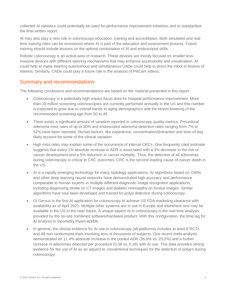collected AI statistics could potentially be used for performance improvement initiatives and to standardize the final written report.

AI may also play a new role in colonoscopy education, training and accreditation. Both simulated and realtime training roles can be envisioned where AI is part of the education and assessment process. Future training should include lessons on the optimal combination of AI and endoscopist skills.

Robotic colonoscopy is an active area of research. These devices are mostly focused on smaller lessinvasive devices with different steering mechanisms that may enhance accessibility and visualization. AI could help to make steering autonomous and simultaneous CADe could help to direct the robot to lesions of interest. Similarly, CADe could play a future role in the analysis of PillCam videos.

#### <span id="page-7-0"></span>Summary and recommendations

The following conclusions and recommendations are based on the material presented in this report:

- Colonoscopy is a potentially high-impact focus area for hospital performance improvement. More than 19 million screening colonoscopies are currently performed annually in the US and this number is expected to grow due to overall trends in aging demographics and the recent lowering of the recommended screening age from 50 to 45.
- There exists a significant amount of variation reported in colonoscopy quality metrics. Procedural adenoma miss rates of up to 30% and endoscopist adenoma detection rates ranging from 7% to 52% have been reported. Human factors, like experience, concentration/distraction and time-of-day likely account for some of the clinical variation.
- High miss rates may explain some of the occurrence of interval CRCs. One frequently cited estimate suggests that every 1% absolute increase in ADR is associated with a 3% decrease in the risk of cancer development and a 5% reduction in cancer mortality. Thus, the detection of all adenomas during colonoscopy is critical to CRC outcomes. CRC is the second leading cause of cancer death in the US.
- AI is a rapidly emerging technology for many radiology applications. AI algorithms based on CNNs and other deep learning neural networks have demonstrated high accuracy and performance comparable to human experts in multiple different diagnostic image recognition applications, including diagnosing stroke on CT images and diabetic retinopathy on fundus images. Similar algorithms have now been developed and trained for polyp detection during colonoscopy.
- GI Genius is the first AI application for colonoscopy to achieve US FDA marketing clearance with availability as of April 2021. Multiple other systems are in use in Europe and elsewhere and may be available in the US in the near future. A unique aspect AI in colonoscopy is the real-time analysis provided by the on-site combined software/hardware product. With this configuration, the time lag for AI analysis is reportedly imperceptible.
- In general, the clinical evidence for AI use in colonoscopy (all platforms) includes at least 8 RCTs and 48 non-randomized trials involving tens of thousands of subjects. One recent meta-analysis demonstrated an 11.4% absolute increase in the pooled ADR (36.6% vs. 25.2%) and a further increase in adenomas detected per procedure (0.58 vs. 0.36) with AI use. This data provides strong evidence for the use of AI as an adjunct to conventional techniques for the detection of polyps during colonoscopy.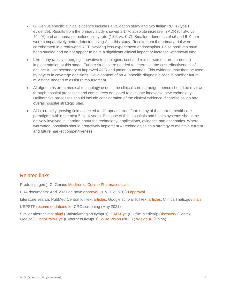- GI Genius specific clinical evidence includes a validation study and two Italian RCTs (type I evidence). Results from the primary study showed a 14% absolute increase in ADR (54.8% vs. 40.4%) and adenoma per colonoscopy rate (1.05 vs. 0.7). Smaller adenomas of ≤5 and 6–9 mm were comparatively better detected using AI in this study. Results from the primary trial were corroborated in a real-world RCT involving less-experienced endoscopists. False positives have been studied and do not appear to have a significant clinical impact or increase withdrawal time.
- Like many rapidly emerging innovative technologies, cost and reimbursement are barriers to implementation at this stage. Further studies are needed to determine the cost-effectiveness of adjunct AI use secondary to improved ADR and patient outcomes. This evidence may then be used by payers in coverage decisions. Development of an AI specific diagnostic code is another future milestone needed to assist reimbursement.
- AI algorithms are a medical technology used in the clinical care paradigm, hence should be reviewed through hospital processes and committees equipped to evaluate innovative new technology. Deliberative processes should include consideration of the clinical evidence, financial issues and overall hospital strategic plan.
- AI is a rapidly growing field expected to disrupt and transform many of the current healthcare paradigms within the next 5 to 10 years. Because of this, hospitals and health systems should be actively involved in learning about the technology, applications, evidence and economics. Where warranted, hospitals should proactively implement AI technologies as a strategy to maintain current and future market competitiveness.

# <span id="page-8-0"></span>Related links

Product page(s): GI Genius [Medtronic,](https://www.medtronic.com/us-en/c/digestive-gastrointestinal/gi-genius.html) [Cosmo Pharmaceuticals](https://www.cosmopharma.com/products/gi-genius)

FDA documents: April 2021 de novo [approval,](https://www.accessdata.fda.gov/cdrh_docs/pdf20/DEN200055.pdf) July 2021 510(k) [approval](https://www.accessdata.fda.gov/cdrh_docs/pdf21/K211951.pdf)

Literature search: PubMed Central full text [articles,](https://www.ncbi.nlm.nih.gov/pmc/?term=gi+genius+colonoscopy) Google scholar full text [articles,](https://scholar.google.com/scholar?hl=en&as_sdt=1%2C14&q=gi+genius+colonoscopy+&btnG=) ClinicalTrials.gov [trials](https://clinicaltrials.gov/ct2/results?cond=&term=gi+genius&cntry=&state=&city=&dist=)

USPSTF [recommendations](https://uspreventiveservicestaskforce.org/uspstf/recommendation/colorectal-cancer-screening) for CRC screening (May 2021)

Similar alternatives: [ai4gi](https://ai4gi.com/) (Satisfai/Imagia/Olympus)[; CAD-Eye](https://www.fujifilm.com/us/en/news/healthcare/fujifilm-obtains-ce-mark-on-software-with-new-cad-eye-function-in-europe) (Fujifilm Medical); [Discovery](https://www.pentaxmedical.com/pentax/en/95/2/DISCOVERY-new) (Pentax Medical); [EndoBrain-Eye](https://www.cybernet.jp/english/documents/pdf/news/press/2020/20200129.pdf) (Cybernet/Olympus); [Wise Vision](https://www.nec.com/en/press/202101/global_20210112_01.html) (NEC) ; [Wision AI](https://www.wision.com/) (China)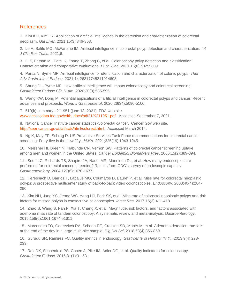#### <span id="page-9-0"></span>References

<span id="page-9-1"></span>1. Kim KO, Kim EY. Application of artificial intelligence in the detection and characterization of colorectal neoplasm. *Gut Liver*. 2021;15(3):346-353.

2. Le A, Salifu MO, McFarlane IM. Artificial intelligence in colorectal polyp detection and characterization. *Int J Clin Res Trials*. 2021;6.

3. Li K, Fathan MI, Patel K, Zhang T, Zhong C, et al. Colonoscopy polyp detection and classification: Dataset creation and comparative evaluations. *PLoS One*. 2021;16(8):e0255809.

<span id="page-9-13"></span>4. Parsa N, Byrne MF. Artificial intelligence for identification and characterization of colonic polyps. *Ther Adv Gastrointest Endosc*. 2021;14:26317745211014698.

5. Shung DL, Byrne MF. How artificial intelligence will impact colonoscopy and colorectal screening. *Gastrointest Endosc Clin N Am*. 2020;30(3):585-595.

6. Wang KW, Dong M. Potential applications of artificial intelligence in colorectal polyps and cancer: Recent advances and prospects. *World J Gastroenterol*. 2020;26(34):5090-5100.

<span id="page-9-2"></span>7. 510(k) summary-k211951 (june 18, 2021). FDA web site. [www.accessdata.fda.gov/cdrh\\_docs/pdf21/K211951.pdf.](www.accessdata.fda.gov/cdrh_docs/pdf21/K211951.pdf) Accessed September 7, 2021.

<span id="page-9-3"></span>8. National Cancer Institute cancer statistics-Colorectal cancer. Cancer.Gov web site. [http://seer.cancer.gov/statfacts/html/colorect.html.](http://seer.cancer.gov/statfacts/html/colorect.html) Accessed March 2014.

<span id="page-9-4"></span>9. Ng K, May FP, Schrag D. US Preventive Services Task Force recommendations for colorectal cancer screening: Forty-five is the new fifty. *JAMA*. 2021;325(19):1943-1945.

<span id="page-9-5"></span>10. Meissner HI, Breen N, Klabunde CN, Vernon SW. Patterns of colorectal cancer screening uptake among men and women in the United States. *Cancer Epidemiol Biomarkers Prev*. 2006;15(2):389-394.

<span id="page-9-6"></span>11. Seeff LC, Richards TB, Shapiro JA, Nadel MR, Manninen DL, et al. How many endoscopies are performed for colorectal cancer screening? Results from CDC's survey of endoscopic capacity. *Gastroenterology*. 2004;127(6):1670-1677.

<span id="page-9-7"></span>12. Heresbach D, Barrioz T, Lapalus MG, Coumaros D, Bauret P, et al. Miss rate for colorectal neoplastic polyps: A prospective multicenter study of back-to-back video colonoscopies. *Endoscopy*. 2008;40(4):284- 290.

<span id="page-9-8"></span>13. Kim NH, Jung YS, Jeong WS, Yang HJ, Park SK, et al. Miss rate of colorectal neoplastic polyps and risk factors for missed polyps in consecutive colonoscopies. *Intest Res*. 2017;15(3):411-418.

<span id="page-9-9"></span>14. Zhao S, Wang S, Pan P, Xia T, Chang X, et al. Magnitude, risk factors, and factors associated with adenoma miss rate of tandem colonoscopy: A systematic review and meta-analysis. *Gastroenterology*. 2019;156(6):1661-1674 e1611.

<span id="page-9-10"></span>15. Marcondes FO, Gourevitch RA, Schoen RE, Crockett SD, Morris M, et al. Adenoma detection rate falls at the end of the day in a large multi-site sample. *Dig Dis Sci*. 2018;63(4):856-859.

<span id="page-9-11"></span>16. Gurudu SR, Ramirez FC. Quality metrics in endoscopy. *Gastroenterol Hepatol (N Y)*. 2013;9(4):228- 233.

<span id="page-9-12"></span>17. Rex DK, Schoenfeld PS, Cohen J, Pike IM, Adler DG, et al. Quality indicators for colonoscopy. *Gastrointest Endosc*. 2015;81(1):31-53.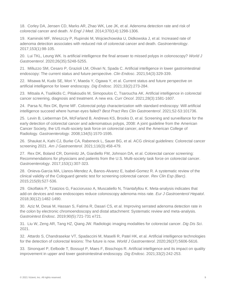<span id="page-10-0"></span>18. Corley DA, Jensen CD, Marks AR, Zhao WK, Lee JK, et al. Adenoma detection rate and risk of colorectal cancer and death. *N Engl J Med*. 2014;370(14):1298-1306.

<span id="page-10-1"></span>19. Kaminski MF, Wieszczy P, Rupinski M, Wojciechowska U, Didkowska J, et al. Increased rate of adenoma detection associates with reduced risk of colorectal cancer and death. *Gastroenterology*. 2017;153(1):98-105.

<span id="page-10-2"></span>20. Lui TKL, Leung WK. Is artificial intelligence the final answer to missed polyps in colonoscopy? *World J Gastroenterol*. 2020;26(35):5248-5255.

21. Milluzzo SM, Cesaro P, Grazioli LM, Olivari N, Spada C. Artificial intelligence in lower gastrointestinal endoscopy: The current status and future perspective. *Clin Endosc*. 2021;54(3):329-339.

22. Misawa M, Kudo SE, Mori Y, Maeda Y, Ogawa Y, et al. Current status and future perspective on artificial intelligence for lower endoscopy. *Dig Endosc*. 2021;33(2):273-284.

23. Mitsala A, Tsalikidis C, Pitiakoudis M, Simopoulos C, Tsaroucha AK. Artificial intelligence in colorectal cancer screening, diagnosis and treatment. A new era. *Curr Oncol*. 2021;28(3):1581-1607.

24. Parsa N, Rex DK, Byrne MF. Colorectal polyp characterization with standard endoscopy: Will artificial intelligence succeed where human eyes failed? *Best Pract Res Clin Gastroenterol*. 2021;52-53:101736.

<span id="page-10-3"></span>25. Levin B, Lieberman DA, McFarland B, Andrews KS, Brooks D, et al. Screening and surveillance for the early detection of colorectal cancer and adenomatous polyps, 2008: A joint guideline from the American Cancer Society, the US multi-society task force on colorectal cancer, and the American College of Radiology. *Gastroenterology*. 2008;134(5):1570-1595.

26. Shaukat A, Kahi CJ, Burke CA, Rabeneck L, Sauer BG, et al. ACG clinical guidelines: Colorectal cancer screening 2021. *Am J Gastroenterol*. 2021;116(3):458-479.

27. Rex DK, Boland CR, Dominitz JA, Giardiello FM, Johnson DA, et al. Colorectal cancer screening: Recommendations for physicians and patients from the U.S. Multi-society task force on colorectal cancer. *Gastroenterology*. 2017;153(1):307-323.

<span id="page-10-4"></span>28. Onieva-Garcia MA, Llanos-Mendez A, Banos-Alvarez E, Isabel-Gomez R. A systematic review of the clinical validity of the Cologuard genetic test for screening colorectal cancer. *Rev Clin Esp (Barc)*. 2015;215(9):527-536.

<span id="page-10-5"></span>29. Gkolfakis P, Tziatzios G, Facciorusso A, Muscatiello N, Triantafyllou K. Meta-analysis indicates that add-on devices and new endoscopes reduce colonoscopy adenoma miss rate. *Eur J Gastroenterol Hepatol*. 2018;30(12):1482-1490.

<span id="page-10-6"></span>30. Aziz M, Desai M, Hassan S, Fatima R, Dasari CS, et al. Improving serrated adenoma detection rate in the colon by electronic chromoendoscopy and distal attachment: Systematic review and meta-analysis. *Gastrointest Endosc*. 2019;90(5):721-731 e721.

<span id="page-10-7"></span>31. Liu W, Zeng AR, Tang HZ, Qiang JW. Radiologic imaging modalities for colorectal cancer. *Dig Dis Sci*. 2021.

<span id="page-10-8"></span>32. Attardo S, Chandrasekar VT, Spadaccini M, Maselli R, Patel HK, et al. Artificial intelligence technologies for the detection of colorectal lesions: The future is now. *World J Gastroenterol*. 2020;26(37):5606-5616.

<span id="page-10-9"></span>33. Sinonquel P, Eelbode T, Bossuyt P, Maes F, Bisschops R. Artificial intelligence and its impact on quality improvement in upper and lower gastrointestinal endoscopy. *Dig Endosc*. 2021;33(2):242-253.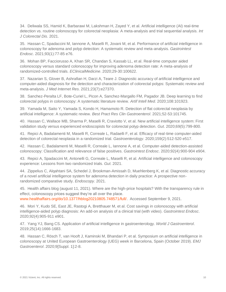<span id="page-11-0"></span>34. Deliwala SS, Hamid K, Barbarawi M, Lakshman H, Zayed Y, et al. Artificial intelligence (AI) real-time detection vs. routine colonoscopy for colorectal neoplasia: A meta-analysis and trial sequential analysis. *Int J Colorectal Dis*. 2021.

<span id="page-11-2"></span>35. Hassan C, Spadaccini M, Iannone A, Maselli R, Jovani M, et al. Performance of artificial intelligence in colonoscopy for adenoma and polyp detection: A systematic review and meta-analysis. *Gastrointest Endosc*. 2021;93(1):77-85 e76.

36. Mohan BP, Facciorusso A, Khan SR, Chandan S, Kassab LL, et al. Real-time computer aided colonoscopy versus standard colonoscopy for improving adenoma detection rate: A meta-analysis of randomized-controlled trials. *EClinicalMedicine*. 2020;29-30:100622.

<span id="page-11-1"></span>37. Nazarian S, Glover B, Ashrafian H, Darzi A, Teare J. Diagnostic accuracy of artificial intelligence and computer-aided diagnosis for the detection and characterization of colorectal polyps: Systematic review and meta-analysis. *J Med Internet Res*. 2021;23(7):e27370.

38. Sanchez-Peralta LF, Bote-Curiel L, Picon A, Sanchez-Margallo FM, Pagador JB. Deep learning to find colorectal polyps in colonoscopy: A systematic literature review. *Artif Intell Med*. 2020;108:101923.

39. Yamada M, Saito Y, Yamada S, Kondo H, Hamamoto R. Detection of flat colorectal neoplasia by artificial intelligence: A systematic review. *Best Pract Res Clin Gastroenterol*. 2021;52-53:101745.

<span id="page-11-3"></span>40. Hassan C, Wallace MB, Sharma P, Maselli R, Craviotto V, et al. New artificial intelligence system: First validation study versus experienced endoscopists for colorectal polyp detection. *Gut*. 2020;69(5):799-800.

<span id="page-11-4"></span>41. Repici A, Badalamenti M, Maselli R, Correale L, Radaelli F, et al. Efficacy of real-time computer-aided detection of colorectal neoplasia in a randomized trial. *Gastroenterology*. 2020;159(2):512-520 e517.

<span id="page-11-5"></span>42. Hassan C, Badalamenti M, Maselli R, Correale L, Iannone A, et al. Computer-aided detection-assisted colonoscopy: Classification and relevance of false positives. *Gastrointest Endosc*. 2020;92(4):900-904 e904.

<span id="page-11-6"></span>43. Repici A, Spadaccini M, Antonelli G, Correale L, Maselli R, et al. Artificial intelligence and colonoscopy experience: Lessons from two randomized trials. *Gut*. 2021.

<span id="page-11-7"></span>44. Zippelius C, Alqahtani SA, Schedel J, Brookman-Amissah D, Muehlenberg K, et al. Diagnostic accuracy of a novel artificial intelligence system for adenoma detection in daily practice: A prospective nonrandomized comparative study. *Endoscopy*. 2021.

<span id="page-11-8"></span>45. Health affairs blog (august 11, 2021). Where are the high-price hospitals? With the transparency rule in effect, colonoscopy prices suggest they're all over the place. [www.healthaffairs.org/do/10.1377/hblog20210805.748571/full/.](www.healthaffairs.org/do/10.1377/hblog20210805.748571/full/) Accessed September 9, 2021.

<span id="page-11-9"></span>46. Mori Y, Kudo SE, East JE, Rastogi A, Bretthauer M, et al. Cost savings in colonoscopy with artificial intelligence-aided polyp diagnosis: An add-on analysis of a clinical trial (with video). *Gastrointest Endosc*. 2020;92(4):905-911 e901.

<span id="page-11-10"></span>47. Yang YJ, Bang CS. Application of artificial intelligence in gastroenterology. *World J Gastroenterol*. 2019;25(14):1666-1683.

<span id="page-11-11"></span>48. Hassan C, Rösch T, van Hooft J, Kaminski M, Bhandari P, et al. Symposium on artificial intelligence in colonoscopy at United European Gastroenterology (UEG) week in Barcelona, Spain (October 2019). *EMJ Gastroenterol*. 2020;9[Suppl. 1]:2-8.